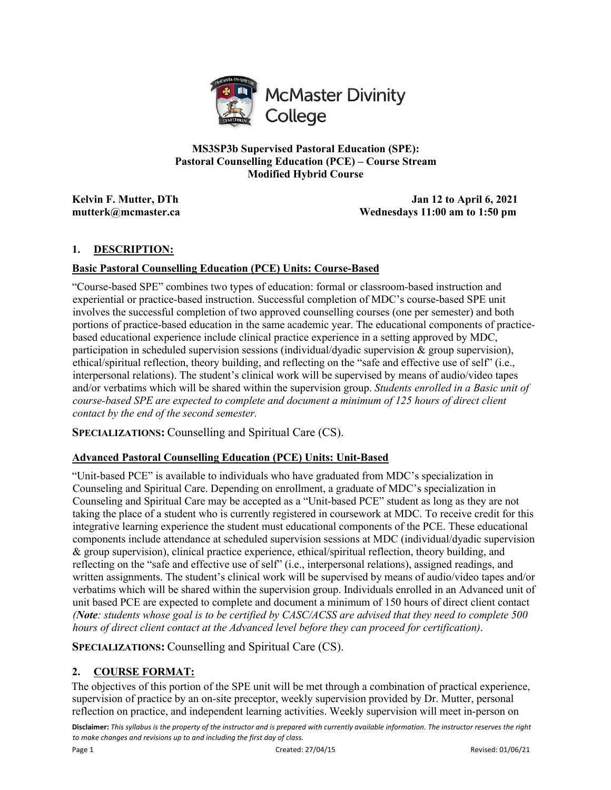

**MS3SP3b Supervised Pastoral Education (SPE): Pastoral Counselling Education (PCE) – Course Stream Modified Hybrid Course**

**Kelvin F. Mutter, DTh Jan 12 to April 6, 2021 mutterk@mcmaster.ca Wednesdays 11:00 am to 1:50 pm** 

# **1. DESCRIPTION:**

# **Basic Pastoral Counselling Education (PCE) Units: Course-Based**

"Course-based SPE" combines two types of education: formal or classroom-based instruction and experiential or practice-based instruction. Successful completion of MDC's course-based SPE unit involves the successful completion of two approved counselling courses (one per semester) and both portions of practice-based education in the same academic year. The educational components of practicebased educational experience include clinical practice experience in a setting approved by MDC, participation in scheduled supervision sessions (individual/dyadic supervision & group supervision), ethical/spiritual reflection, theory building, and reflecting on the "safe and effective use of self" (i.e., interpersonal relations). The student's clinical work will be supervised by means of audio/video tapes and/or verbatims which will be shared within the supervision group. *Students enrolled in a Basic unit of course-based SPE are expected to complete and document a minimum of 125 hours of direct client contact by the end of the second semester.*

**SPECIALIZATIONS:** Counselling and Spiritual Care (CS).

# **Advanced Pastoral Counselling Education (PCE) Units: Unit-Based**

"Unit-based PCE" is available to individuals who have graduated from MDC's specialization in Counseling and Spiritual Care. Depending on enrollment, a graduate of MDC's specialization in Counseling and Spiritual Care may be accepted as a "Unit-based PCE" student as long as they are not taking the place of a student who is currently registered in coursework at MDC. To receive credit for this integrative learning experience the student must educational components of the PCE. These educational components include attendance at scheduled supervision sessions at MDC (individual/dyadic supervision & group supervision), clinical practice experience, ethical/spiritual reflection, theory building, and reflecting on the "safe and effective use of self" (i.e., interpersonal relations), assigned readings, and written assignments. The student's clinical work will be supervised by means of audio/video tapes and/or verbatims which will be shared within the supervision group. Individuals enrolled in an Advanced unit of unit based PCE are expected to complete and document a minimum of 150 hours of direct client contact *(Note: students whose goal is to be certified by CASC/ACSS are advised that they need to complete 500 hours of direct client contact at the Advanced level before they can proceed for certification)*.

**SPECIALIZATIONS:** Counselling and Spiritual Care (CS).

# **2. COURSE FORMAT:**

The objectives of this portion of the SPE unit will be met through a combination of practical experience, supervision of practice by an on-site preceptor, weekly supervision provided by Dr. Mutter, personal reflection on practice, and independent learning activities. Weekly supervision will meet in-person on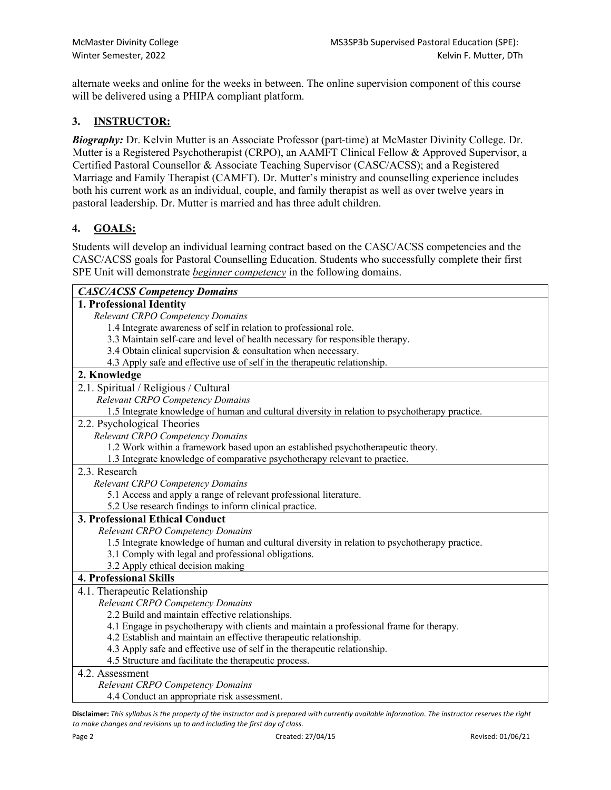alternate weeks and online for the weeks in between. The online supervision component of this course will be delivered using a PHIPA compliant platform.

# **3. INSTRUCTOR:**

*Biography:* Dr. Kelvin Mutter is an Associate Professor (part-time) at McMaster Divinity College. Dr. Mutter is a Registered Psychotherapist (CRPO), an AAMFT Clinical Fellow & Approved Supervisor, a Certified Pastoral Counsellor & Associate Teaching Supervisor (CASC/ACSS); and a Registered Marriage and Family Therapist (CAMFT). Dr. Mutter's ministry and counselling experience includes both his current work as an individual, couple, and family therapist as well as over twelve years in pastoral leadership. Dr. Mutter is married and has three adult children.

# **4. GOALS:**

Students will develop an individual learning contract based on the CASC/ACSS competencies and the CASC/ACSS goals for Pastoral Counselling Education. Students who successfully complete their first SPE Unit will demonstrate *beginner competency* in the following domains.

| <b>CASC/ACSS Competency Domains</b>                                                            |
|------------------------------------------------------------------------------------------------|
| 1. Professional Identity                                                                       |
| Relevant CRPO Competency Domains                                                               |
| 1.4 Integrate awareness of self in relation to professional role.                              |
| 3.3 Maintain self-care and level of health necessary for responsible therapy.                  |
| 3.4 Obtain clinical supervision & consultation when necessary.                                 |
| 4.3 Apply safe and effective use of self in the therapeutic relationship.                      |
| 2. Knowledge                                                                                   |
| 2.1. Spiritual / Religious / Cultural                                                          |
| Relevant CRPO Competency Domains                                                               |
| 1.5 Integrate knowledge of human and cultural diversity in relation to psychotherapy practice. |
| 2.2. Psychological Theories                                                                    |
| Relevant CRPO Competency Domains                                                               |
| 1.2 Work within a framework based upon an established psychotherapeutic theory.                |
| 1.3 Integrate knowledge of comparative psychotherapy relevant to practice.                     |
| 2.3. Research                                                                                  |
| Relevant CRPO Competency Domains                                                               |
| 5.1 Access and apply a range of relevant professional literature.                              |
| 5.2 Use research findings to inform clinical practice.                                         |
| 3. Professional Ethical Conduct                                                                |
| Relevant CRPO Competency Domains                                                               |
| 1.5 Integrate knowledge of human and cultural diversity in relation to psychotherapy practice. |
| 3.1 Comply with legal and professional obligations.                                            |
| 3.2 Apply ethical decision making                                                              |
| <b>4. Professional Skills</b>                                                                  |
| 4.1. Therapeutic Relationship                                                                  |
| Relevant CRPO Competency Domains                                                               |
| 2.2 Build and maintain effective relationships.                                                |
| 4.1 Engage in psychotherapy with clients and maintain a professional frame for therapy.        |
| 4.2 Establish and maintain an effective therapeutic relationship.                              |
| 4.3 Apply safe and effective use of self in the therapeutic relationship.                      |
| 4.5 Structure and facilitate the therapeutic process.                                          |
| 4.2. Assessment                                                                                |
| Relevant CRPO Competency Domains                                                               |
| 4.4 Conduct an appropriate risk assessment.                                                    |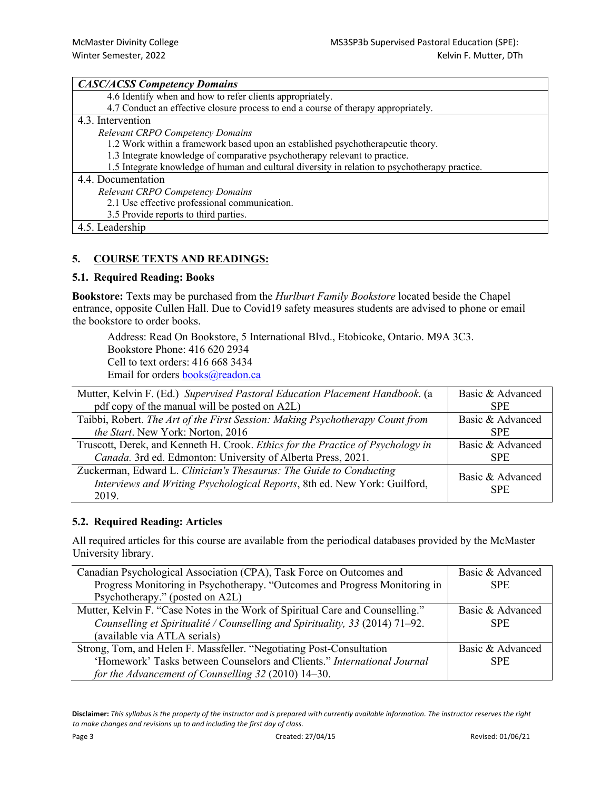| <b>CASC/ACSS Competency Domains</b>                                                            |
|------------------------------------------------------------------------------------------------|
| 4.6 Identify when and how to refer clients appropriately.                                      |
| 4.7 Conduct an effective closure process to end a course of therapy appropriately.             |
| 4.3. Intervention                                                                              |
| <b>Relevant CRPO Competency Domains</b>                                                        |
| 1.2 Work within a framework based upon an established psychotherapeutic theory.                |
| 1.3 Integrate knowledge of comparative psychotherapy relevant to practice.                     |
| 1.5 Integrate knowledge of human and cultural diversity in relation to psychotherapy practice. |
| 4.4. Documentation                                                                             |
| <b>Relevant CRPO Competency Domains</b>                                                        |
| 2.1 Use effective professional communication.                                                  |
| 3.5 Provide reports to third parties.                                                          |
| 4.5. Leadership                                                                                |

# **5. COURSE TEXTS AND READINGS:**

#### **5.1. Required Reading: Books**

**Bookstore:** Texts may be purchased from the *Hurlburt Family Bookstore* located beside the Chapel entrance, opposite Cullen Hall. Due to Covid19 safety measures students are advised to phone or email the bookstore to order books.

Address: Read On Bookstore, 5 International Blvd., Etobicoke, Ontario. M9A 3C3. Bookstore Phone: 416 620 2934 Cell to text orders: 416 668 3434 Email for orders **books@readon.ca** 

| Mutter, Kelvin F. (Ed.) Supervised Pastoral Education Placement Handbook. (a                                                                              | Basic & Advanced               |
|-----------------------------------------------------------------------------------------------------------------------------------------------------------|--------------------------------|
| pdf copy of the manual will be posted on A2L)                                                                                                             | <b>SPE</b>                     |
| Taibbi, Robert. The Art of the First Session: Making Psychotherapy Count from                                                                             | Basic & Advanced               |
| the Start. New York: Norton, 2016                                                                                                                         | <b>SPE</b>                     |
| Truscott, Derek, and Kenneth H. Crook. Ethics for the Practice of Psychology in                                                                           | Basic & Advanced               |
| Canada. 3rd ed. Edmonton: University of Alberta Press, 2021.                                                                                              | <b>SPE</b>                     |
| Zuckerman, Edward L. Clinician's Thesaurus: The Guide to Conducting<br>Interviews and Writing Psychological Reports, 8th ed. New York: Guilford,<br>2019. | Basic & Advanced<br><b>SPE</b> |

# **5.2. Required Reading: Articles**

All required articles for this course are available from the periodical databases provided by the McMaster University library.

| Canadian Psychological Association (CPA), Task Force on Outcomes and          | Basic & Advanced |
|-------------------------------------------------------------------------------|------------------|
| Progress Monitoring in Psychotherapy. "Outcomes and Progress Monitoring in    | <b>SPE</b>       |
| Psychotherapy." (posted on A2L)                                               |                  |
| Mutter, Kelvin F. "Case Notes in the Work of Spiritual Care and Counselling." | Basic & Advanced |
| Counselling et Spiritualité / Counselling and Spirituality, 33 (2014) 71-92.  | <b>SPE</b>       |
| (available via ATLA serials)                                                  |                  |
| Strong, Tom, and Helen F. Massfeller. "Negotiating Post-Consultation          | Basic & Advanced |
| 'Homework' Tasks between Counselors and Clients." International Journal       | <b>SPE</b>       |
| for the Advancement of Counselling 32 (2010) 14–30.                           |                  |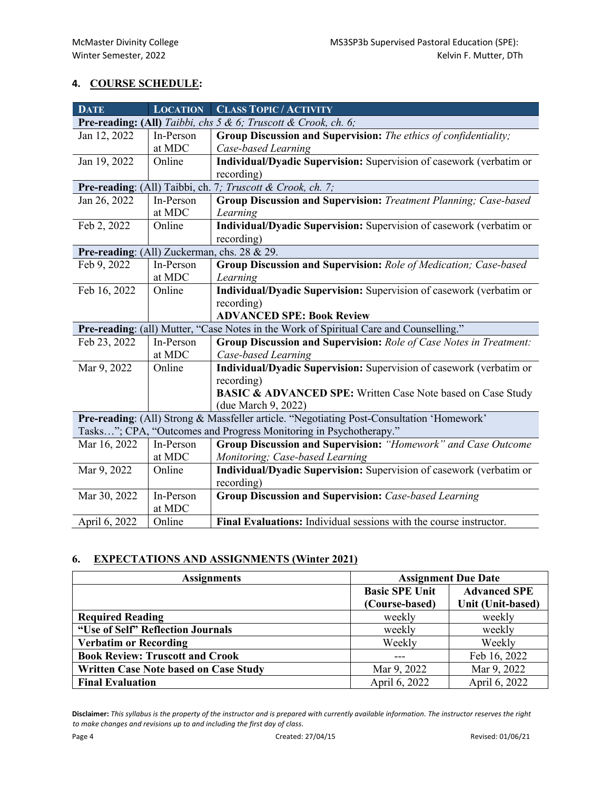# **4. COURSE SCHEDULE:**

| <b>DATE</b>                                                                               | <b>LOCATION</b> | <b>CLASS TOPIC / ACTIVITY</b>                                          |  |  |
|-------------------------------------------------------------------------------------------|-----------------|------------------------------------------------------------------------|--|--|
| Pre-reading: (All) Taibbi, chs 5 & 6; Truscott & Crook, ch. 6;                            |                 |                                                                        |  |  |
| Jan 12, 2022                                                                              | In-Person       | Group Discussion and Supervision: The ethics of confidentiality;       |  |  |
|                                                                                           | at MDC          | Case-based Learning                                                    |  |  |
| Jan 19, 2022                                                                              | Online          | Individual/Dyadic Supervision: Supervision of casework (verbatim or    |  |  |
|                                                                                           |                 | recording)                                                             |  |  |
| Pre-reading: (All) Taibbi, ch. 7; Truscott & Crook, ch. 7;                                |                 |                                                                        |  |  |
| Jan 26, 2022                                                                              | In-Person       | Group Discussion and Supervision: Treatment Planning; Case-based       |  |  |
|                                                                                           | at MDC          | Learning                                                               |  |  |
| Feb 2, 2022                                                                               | Online          | Individual/Dyadic Supervision: Supervision of casework (verbatim or    |  |  |
|                                                                                           |                 | recording)                                                             |  |  |
| Pre-reading: (All) Zuckerman, chs. 28 & 29.                                               |                 |                                                                        |  |  |
| Feb 9, 2022                                                                               | In-Person       | Group Discussion and Supervision: Role of Medication; Case-based       |  |  |
|                                                                                           | at MDC          | Learning                                                               |  |  |
| Feb 16, 2022                                                                              | Online          | Individual/Dyadic Supervision: Supervision of casework (verbatim or    |  |  |
|                                                                                           |                 | recording)                                                             |  |  |
|                                                                                           |                 | <b>ADVANCED SPE: Book Review</b>                                       |  |  |
| Pre-reading: (all) Mutter, "Case Notes in the Work of Spiritual Care and Counselling."    |                 |                                                                        |  |  |
| Feb 23, 2022                                                                              | In-Person       | Group Discussion and Supervision: Role of Case Notes in Treatment:     |  |  |
|                                                                                           | at MDC          | Case-based Learning                                                    |  |  |
| Mar 9, 2022                                                                               | Online          | Individual/Dyadic Supervision: Supervision of casework (verbatim or    |  |  |
|                                                                                           |                 | recording)                                                             |  |  |
|                                                                                           |                 | <b>BASIC &amp; ADVANCED SPE:</b> Written Case Note based on Case Study |  |  |
|                                                                                           |                 | (due March 9, 2022)                                                    |  |  |
| Pre-reading: (All) Strong & Massfeller article. "Negotiating Post-Consultation 'Homework' |                 |                                                                        |  |  |
| Tasks"; CPA, "Outcomes and Progress Monitoring in Psychotherapy."                         |                 |                                                                        |  |  |
| Mar 16, 2022                                                                              | In-Person       | Group Discussion and Supervision: "Homework" and Case Outcome          |  |  |
|                                                                                           | at MDC          | Monitoring; Case-based Learning                                        |  |  |
| Mar 9, 2022                                                                               | Online          | Individual/Dyadic Supervision: Supervision of casework (verbatim or    |  |  |
|                                                                                           |                 | recording)                                                             |  |  |
| Mar 30, 2022                                                                              | In-Person       | Group Discussion and Supervision: Case-based Learning                  |  |  |
|                                                                                           | at MDC          |                                                                        |  |  |
| April 6, 2022                                                                             | Online          | Final Evaluations: Individual sessions with the course instructor.     |  |  |

# **6. EXPECTATIONS AND ASSIGNMENTS (Winter 2021)**

| <b>Assignments</b>                           | <b>Assignment Due Date</b> |                     |
|----------------------------------------------|----------------------------|---------------------|
|                                              | <b>Basic SPE Unit</b>      | <b>Advanced SPE</b> |
|                                              | (Course-based)             | Unit (Unit-based)   |
| <b>Required Reading</b>                      | weekly                     | weekly              |
| "Use of Self" Reflection Journals            | weekly                     | weekly              |
| <b>Verbatim or Recording</b>                 | Weekly                     | Weekly              |
| <b>Book Review: Truscott and Crook</b>       |                            | Feb 16, 2022        |
| <b>Written Case Note based on Case Study</b> | Mar 9, 2022                | Mar 9, 2022         |
| <b>Final Evaluation</b>                      | April 6, 2022              | April 6, 2022       |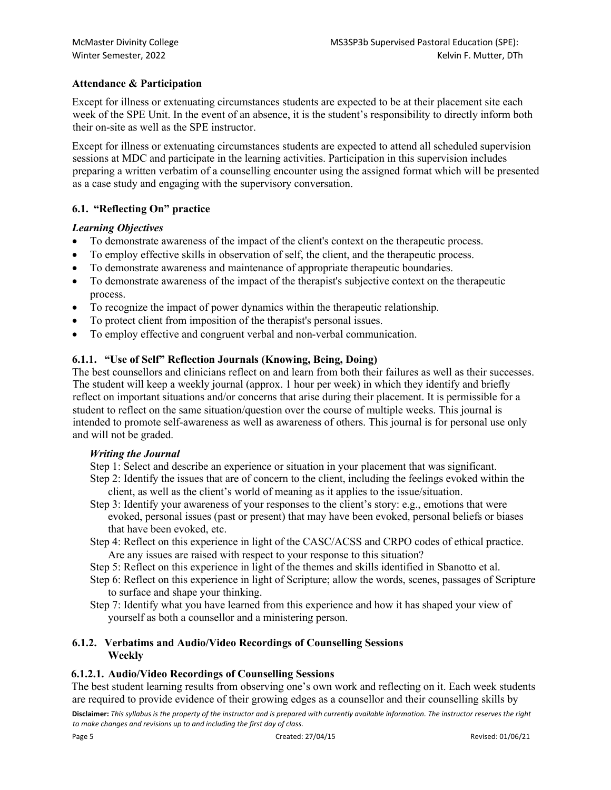# **Attendance & Participation**

Except for illness or extenuating circumstances students are expected to be at their placement site each week of the SPE Unit. In the event of an absence, it is the student's responsibility to directly inform both their on-site as well as the SPE instructor.

Except for illness or extenuating circumstances students are expected to attend all scheduled supervision sessions at MDC and participate in the learning activities. Participation in this supervision includes preparing a written verbatim of a counselling encounter using the assigned format which will be presented as a case study and engaging with the supervisory conversation.

# **6.1. "Reflecting On" practice**

# *Learning Objectives*

- To demonstrate awareness of the impact of the client's context on the therapeutic process.
- To employ effective skills in observation of self, the client, and the therapeutic process.
- To demonstrate awareness and maintenance of appropriate therapeutic boundaries.
- To demonstrate awareness of the impact of the therapist's subjective context on the therapeutic process.
- To recognize the impact of power dynamics within the therapeutic relationship.
- To protect client from imposition of the therapist's personal issues.
- To employ effective and congruent verbal and non-verbal communication.

# **6.1.1. "Use of Self" Reflection Journals (Knowing, Being, Doing)**

The best counsellors and clinicians reflect on and learn from both their failures as well as their successes. The student will keep a weekly journal (approx. 1 hour per week) in which they identify and briefly reflect on important situations and/or concerns that arise during their placement. It is permissible for a student to reflect on the same situation/question over the course of multiple weeks. This journal is intended to promote self-awareness as well as awareness of others. This journal is for personal use only and will not be graded.

# *Writing the Journal*

Step 1: Select and describe an experience or situation in your placement that was significant.

- Step 2: Identify the issues that are of concern to the client, including the feelings evoked within the client, as well as the client's world of meaning as it applies to the issue/situation.
- Step 3: Identify your awareness of your responses to the client's story: e.g., emotions that were evoked, personal issues (past or present) that may have been evoked, personal beliefs or biases that have been evoked, etc.
- Step 4: Reflect on this experience in light of the CASC/ACSS and CRPO codes of ethical practice. Are any issues are raised with respect to your response to this situation?
- Step 5: Reflect on this experience in light of the themes and skills identified in Sbanotto et al.
- Step 6: Reflect on this experience in light of Scripture; allow the words, scenes, passages of Scripture to surface and shape your thinking.
- Step 7: Identify what you have learned from this experience and how it has shaped your view of yourself as both a counsellor and a ministering person.

# **6.1.2. Verbatims and Audio/Video Recordings of Counselling Sessions Weekly**

# **6.1.2.1. Audio/Video Recordings of Counselling Sessions**

**Disclaimer:** *This syllabus is the property of the instructor and is prepared with currently available information. The instructor reserves the right to make changes and revisions up to and including the first day of class.* The best student learning results from observing one's own work and reflecting on it. Each week students are required to provide evidence of their growing edges as a counsellor and their counselling skills by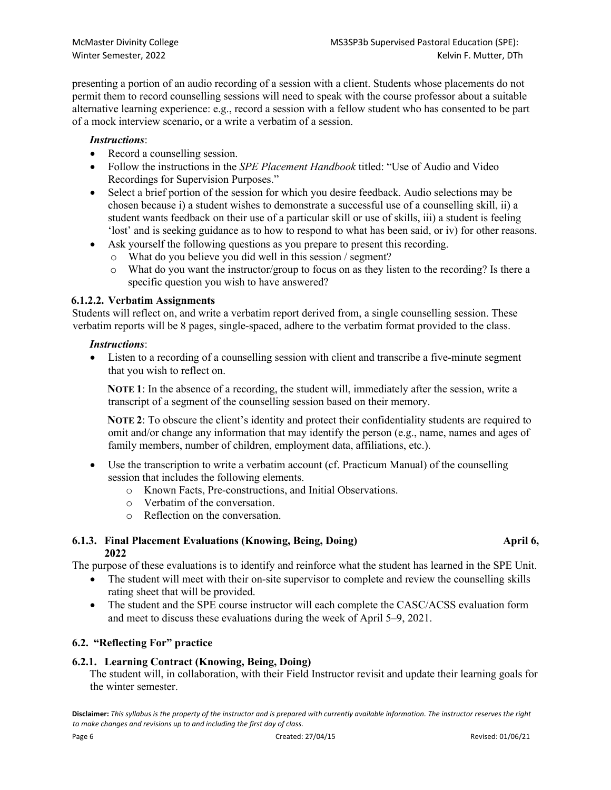presenting a portion of an audio recording of a session with a client. Students whose placements do not permit them to record counselling sessions will need to speak with the course professor about a suitable alternative learning experience: e.g., record a session with a fellow student who has consented to be part of a mock interview scenario, or a write a verbatim of a session.

# *Instructions*:

- Record a counselling session.
- Follow the instructions in the *SPE Placement Handbook* titled: "Use of Audio and Video Recordings for Supervision Purposes."
- Select a brief portion of the session for which you desire feedback. Audio selections may be chosen because i) a student wishes to demonstrate a successful use of a counselling skill, ii) a student wants feedback on their use of a particular skill or use of skills, iii) a student is feeling 'lost' and is seeking guidance as to how to respond to what has been said, or iv) for other reasons.
- Ask yourself the following questions as you prepare to present this recording.
	- o What do you believe you did well in this session / segment?
	- o What do you want the instructor/group to focus on as they listen to the recording? Is there a specific question you wish to have answered?

# **6.1.2.2. Verbatim Assignments**

Students will reflect on, and write a verbatim report derived from, a single counselling session. These verbatim reports will be 8 pages, single-spaced, adhere to the verbatim format provided to the class.

# *Instructions*:

• Listen to a recording of a counselling session with client and transcribe a five-minute segment that you wish to reflect on.

**NOTE 1**: In the absence of a recording, the student will, immediately after the session, write a transcript of a segment of the counselling session based on their memory.

**NOTE 2**: To obscure the client's identity and protect their confidentiality students are required to omit and/or change any information that may identify the person (e.g., name, names and ages of family members, number of children, employment data, affiliations, etc.).

- Use the transcription to write a verbatim account (cf. Practicum Manual) of the counselling session that includes the following elements.
	- o Known Facts, Pre-constructions, and Initial Observations.
	- o Verbatim of the conversation.
	- o Reflection on the conversation.

### **6.1.3.** Final Placement Evaluations (Knowing, Being, Doing) **April 6, April 6**, **2022**

The purpose of these evaluations is to identify and reinforce what the student has learned in the SPE Unit.

- The student will meet with their on-site supervisor to complete and review the counselling skills rating sheet that will be provided.
- The student and the SPE course instructor will each complete the CASC/ACSS evaluation form and meet to discuss these evaluations during the week of April 5–9, 2021.

# **6.2. "Reflecting For" practice**

# **6.2.1. Learning Contract (Knowing, Being, Doing)**

The student will, in collaboration, with their Field Instructor revisit and update their learning goals for the winter semester.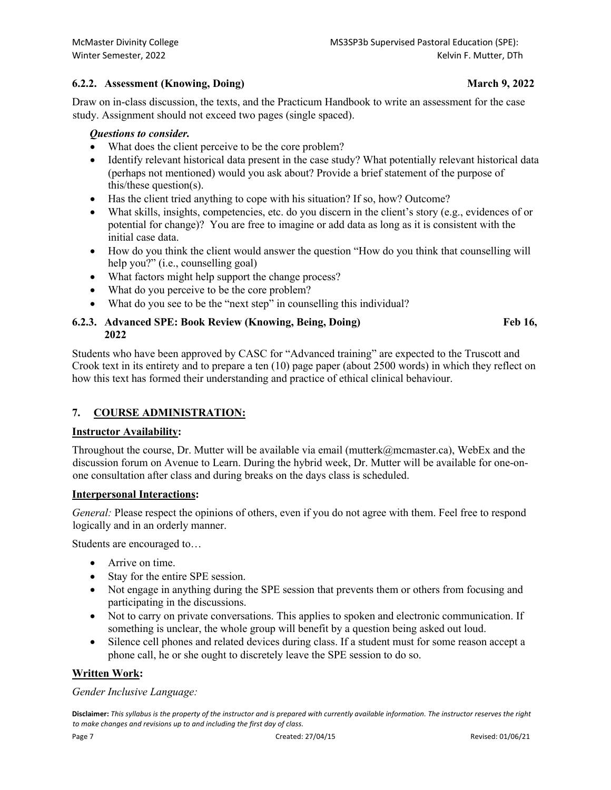# **6.2.2. Assessment (Knowing, Doing) March 9, 2022**

Draw on in-class discussion, the texts, and the Practicum Handbook to write an assessment for the case study. Assignment should not exceed two pages (single spaced).

### *Questions to consider.*

- What does the client perceive to be the core problem?
- Identify relevant historical data present in the case study? What potentially relevant historical data (perhaps not mentioned) would you ask about? Provide a brief statement of the purpose of this/these question(s).
- Has the client tried anything to cope with his situation? If so, how? Outcome?
- What skills, insights, competencies, etc. do you discern in the client's story (e.g., evidences of or potential for change)? You are free to imagine or add data as long as it is consistent with the initial case data.
- How do you think the client would answer the question "How do you think that counselling will help you?" (i.e., counselling goal)
- What factors might help support the change process?
- What do you perceive to be the core problem?
- What do you see to be the "next step" in counselling this individual?

# **6.2.3. Advanced SPE: Book Review (Knowing, Being, Doing) Feb 16, 2022**

Students who have been approved by CASC for "Advanced training" are expected to the Truscott and Crook text in its entirety and to prepare a ten (10) page paper (about 2500 words) in which they reflect on how this text has formed their understanding and practice of ethical clinical behaviour.

# **7. COURSE ADMINISTRATION:**

# **Instructor Availability:**

Throughout the course, Dr. Mutter will be available via email (mutterk@mcmaster.ca), WebEx and the discussion forum on Avenue to Learn. During the hybrid week, Dr. Mutter will be available for one-onone consultation after class and during breaks on the days class is scheduled.

# **Interpersonal Interactions:**

*General:* Please respect the opinions of others, even if you do not agree with them. Feel free to respond logically and in an orderly manner.

Students are encouraged to…

- Arrive on time.
- Stay for the entire SPE session.
- Not engage in anything during the SPE session that prevents them or others from focusing and participating in the discussions.
- Not to carry on private conversations. This applies to spoken and electronic communication. If something is unclear, the whole group will benefit by a question being asked out loud.
- Silence cell phones and related devices during class. If a student must for some reason accept a phone call, he or she ought to discretely leave the SPE session to do so.

# **Written Work:**

# *Gender Inclusive Language:*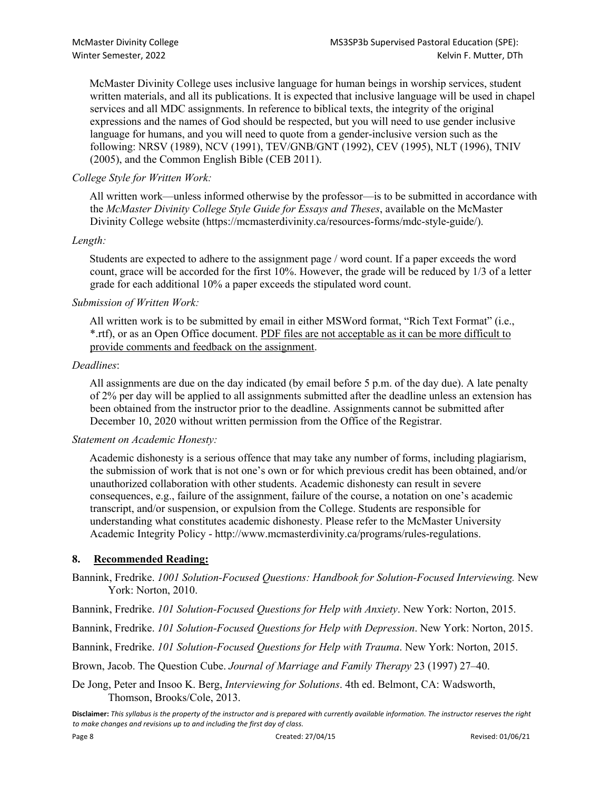McMaster Divinity College uses inclusive language for human beings in worship services, student written materials, and all its publications. It is expected that inclusive language will be used in chapel services and all MDC assignments. In reference to biblical texts, the integrity of the original expressions and the names of God should be respected, but you will need to use gender inclusive language for humans, and you will need to quote from a gender-inclusive version such as the following: NRSV (1989), NCV (1991), TEV/GNB/GNT (1992), CEV (1995), NLT (1996), TNIV (2005), and the Common English Bible (CEB 2011).

# *College Style for Written Work:*

All written work—unless informed otherwise by the professor—is to be submitted in accordance with the *McMaster Divinity College Style Guide for Essays and Theses*, available on the McMaster Divinity College website (https://mcmasterdivinity.ca/resources-forms/mdc-style-guide/).

# *Length:*

Students are expected to adhere to the assignment page / word count. If a paper exceeds the word count, grace will be accorded for the first 10%. However, the grade will be reduced by 1/3 of a letter grade for each additional 10% a paper exceeds the stipulated word count.

# *Submission of Written Work:*

All written work is to be submitted by email in either MSWord format, "Rich Text Format" (i.e., \*.rtf), or as an Open Office document. PDF files are not acceptable as it can be more difficult to provide comments and feedback on the assignment.

### *Deadlines*:

All assignments are due on the day indicated (by email before 5 p.m. of the day due). A late penalty of 2% per day will be applied to all assignments submitted after the deadline unless an extension has been obtained from the instructor prior to the deadline. Assignments cannot be submitted after December 10, 2020 without written permission from the Office of the Registrar.

# *Statement on Academic Honesty:*

Academic dishonesty is a serious offence that may take any number of forms, including plagiarism, the submission of work that is not one's own or for which previous credit has been obtained, and/or unauthorized collaboration with other students. Academic dishonesty can result in severe consequences, e.g., failure of the assignment, failure of the course, a notation on one's academic transcript, and/or suspension, or expulsion from the College. Students are responsible for understanding what constitutes academic dishonesty. Please refer to the McMaster University Academic Integrity Policy - http://www.mcmasterdivinity.ca/programs/rules-regulations.

# **8. Recommended Reading:**

Bannink, Fredrike. *1001 Solution-Focused Questions: Handbook for Solution-Focused Interviewing.* New York: Norton, 2010.

Bannink, Fredrike. *101 Solution-Focused Questions for Help with Anxiety*. New York: Norton, 2015.

Bannink, Fredrike. *101 Solution-Focused Questions for Help with Depression*. New York: Norton, 2015.

Bannink, Fredrike. *101 Solution-Focused Questions for Help with Trauma*. New York: Norton, 2015.

Brown, Jacob. The Question Cube. *Journal of Marriage and Family Therapy* 23 (1997) 27–40.

De Jong, Peter and Insoo K. Berg, *Interviewing for Solutions*. 4th ed. Belmont, CA: Wadsworth, Thomson, Brooks/Cole, 2013.

**Disclaimer:** *This syllabus is the property of the instructor and is prepared with currently available information. The instructor reserves the right to make changes and revisions up to and including the first day of class.*